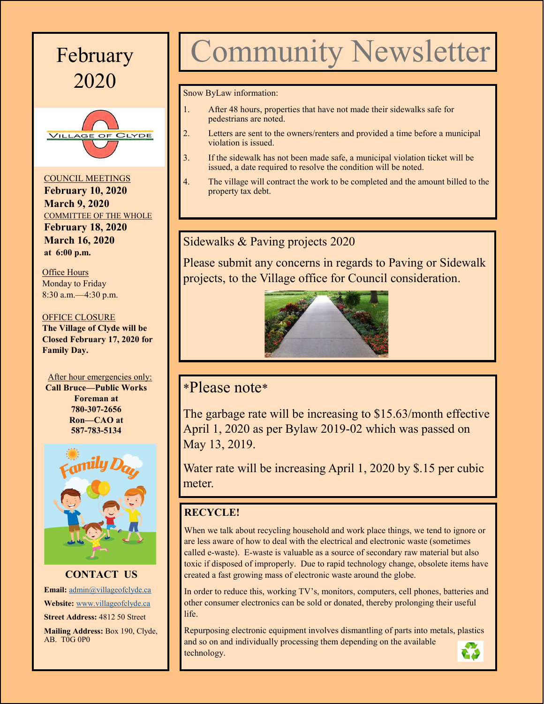



COUNCIL MEETINGS **February 10, 2020 March 9, 2020** COMMITTEE OF THE WHOLE **February 18, 2020 March 16, 2020 at 6:00 p.m.**

Office Hours Monday to Friday 8:30 a.m.—4:30 p.m.

#### OFFICE CLOSURE **The Village of Clyde will be**

**Closed February 17, 2020 for Family Day.**

After hour emergencies only: **Call Bruce—Public Works Foreman at 780-307-2656 Ron—CAO at 587-783-5134**



**CONTACT US Email:** [admin@villageofclyde.ca](mailto:admin@villageofclyde.ca) **Website:** [www.villageofclyde.ca](http://www.villageofclyde.ca) **Street Address:** 4812 50 Street **Mailing Address:** Box 190, Clyde,  $AB. T0G0P0$ 

# February Community Newsletter

Snow ByLaw information:

- 1. After 48 hours, properties that have not made their sidewalks safe for pedestrians are noted.
- 2. Letters are sent to the owners/renters and provided a time before a municipal violation is issued.
- 3. If the sidewalk has not been made safe, a municipal violation ticket will be issued, a date required to resolve the condition will be noted.
- 4. The village will contract the work to be completed and the amount billed to the property tax debt.

## Sidewalks & Paving projects 2020

Please submit any concerns in regards to Paving or Sidewalk projects, to the Village office for Council consideration.



# \*Please note\*

The garbage rate will be increasing to \$15.63/month effective April 1, 2020 as per Bylaw 2019-02 which was passed on May 13, 2019.

Water rate will be increasing April 1, 2020 by \$.15 per cubic meter.

## **RECYCLE!**

When we talk about recycling household and work place things, we tend to ignore or are less aware of how to deal with the electrical and electronic waste (sometimes called e-waste). E-waste is valuable as a source of secondary raw material but also toxic if disposed of improperly. Due to rapid technology change, obsolete items have created a fast growing mass of electronic waste around the globe.

In order to reduce this, working TV's, monitors, computers, cell phones, batteries and other consumer electronics can be sold or donated, thereby prolonging their useful life.

Repurposing electronic equipment involves dismantling of parts into metals, plastics and so on and individually processing them depending on the available technology.